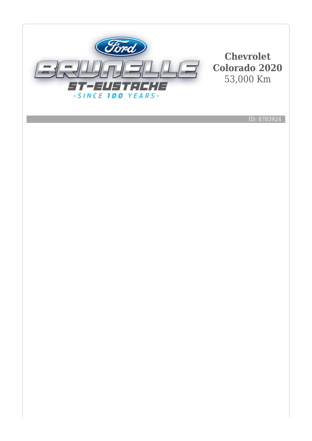

**Chevrolet Colorado 2020** 53,000 Km

ID: 8783924